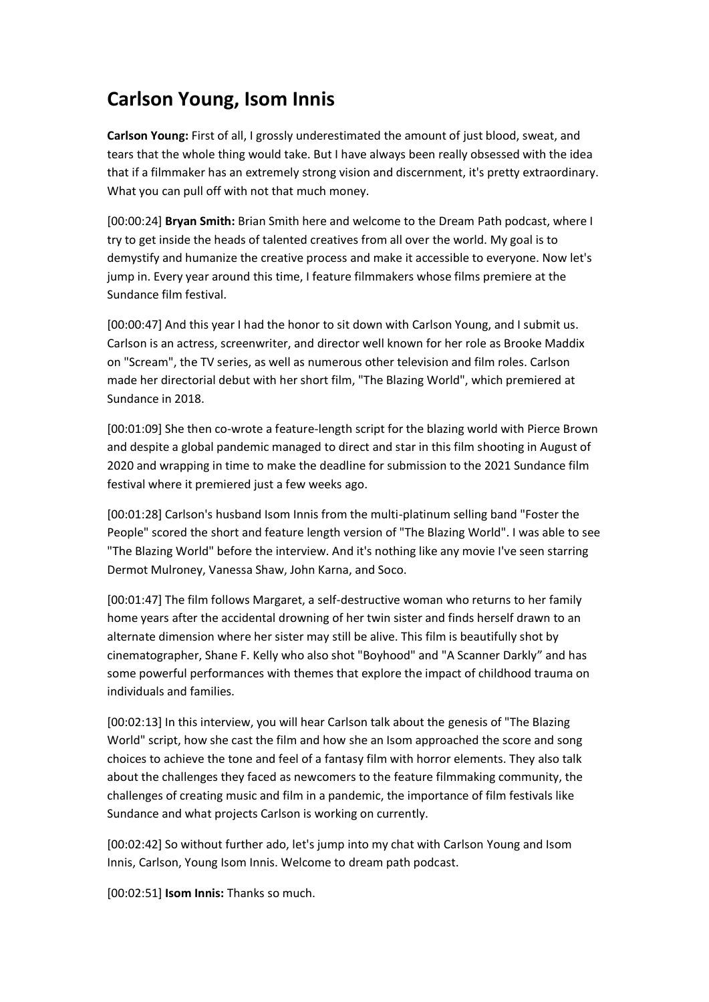## **Carlson Young, Isom Innis**

**Carlson Young:** First of all, I grossly underestimated the amount of just blood, sweat, and tears that the whole thing would take. But I have always been really obsessed with the idea that if a filmmaker has an extremely strong vision and discernment, it's pretty extraordinary. What you can pull off with not that much money.

[00:00:24] **Bryan Smith:** Brian Smith here and welcome to the Dream Path podcast, where I try to get inside the heads of talented creatives from all over the world. My goal is to demystify and humanize the creative process and make it accessible to everyone. Now let's jump in. Every year around this time, I feature filmmakers whose films premiere at the Sundance film festival.

[00:00:47] And this year I had the honor to sit down with Carlson Young, and I submit us. Carlson is an actress, screenwriter, and director well known for her role as Brooke Maddix on "Scream", the TV series, as well as numerous other television and film roles. Carlson made her directorial debut with her short film, "The Blazing World", which premiered at Sundance in 2018.

[00:01:09] She then co-wrote a feature-length script for the blazing world with Pierce Brown and despite a global pandemic managed to direct and star in this film shooting in August of 2020 and wrapping in time to make the deadline for submission to the 2021 Sundance film festival where it premiered just a few weeks ago.

[00:01:28] Carlson's husband Isom Innis from the multi-platinum selling band "Foster the People" scored the short and feature length version of "The Blazing World". I was able to see "The Blazing World" before the interview. And it's nothing like any movie I've seen starring Dermot Mulroney, Vanessa Shaw, John Karna, and Soco.

[00:01:47] The film follows Margaret, a self-destructive woman who returns to her family home years after the accidental drowning of her twin sister and finds herself drawn to an alternate dimension where her sister may still be alive. This film is beautifully shot by cinematographer, Shane F. Kelly who also shot "Boyhood" and "A Scanner Darkly" and has some powerful performances with themes that explore the impact of childhood trauma on individuals and families.

[00:02:13] In this interview, you will hear Carlson talk about the genesis of "The Blazing World" script, how she cast the film and how she an Isom approached the score and song choices to achieve the tone and feel of a fantasy film with horror elements. They also talk about the challenges they faced as newcomers to the feature filmmaking community, the challenges of creating music and film in a pandemic, the importance of film festivals like Sundance and what projects Carlson is working on currently.

[00:02:42] So without further ado, let's jump into my chat with Carlson Young and Isom Innis, Carlson, Young Isom Innis. Welcome to dream path podcast.

[00:02:51] **Isom Innis:** Thanks so much.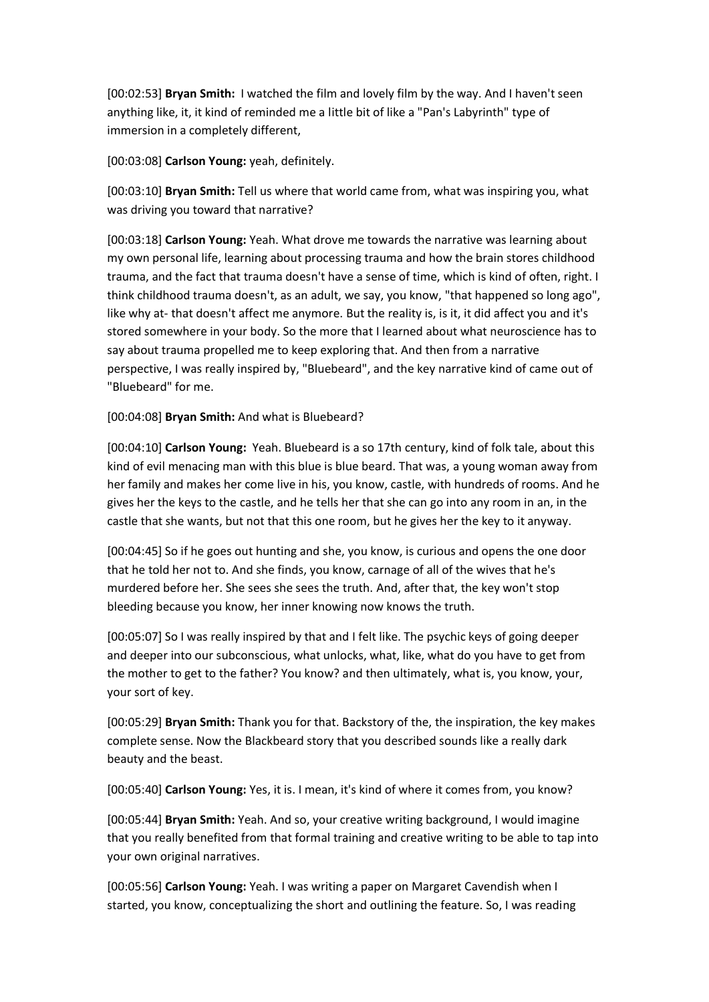[00:02:53] **Bryan Smith:** I watched the film and lovely film by the way. And I haven't seen anything like, it, it kind of reminded me a little bit of like a "Pan's Labyrinth" type of immersion in a completely different,

[00:03:08] **Carlson Young:** yeah, definitely.

[00:03:10] **Bryan Smith:** Tell us where that world came from, what was inspiring you, what was driving you toward that narrative?

[00:03:18] **Carlson Young:** Yeah. What drove me towards the narrative was learning about my own personal life, learning about processing trauma and how the brain stores childhood trauma, and the fact that trauma doesn't have a sense of time, which is kind of often, right. I think childhood trauma doesn't, as an adult, we say, you know, "that happened so long ago", like why at- that doesn't affect me anymore. But the reality is, is it, it did affect you and it's stored somewhere in your body. So the more that I learned about what neuroscience has to say about trauma propelled me to keep exploring that. And then from a narrative perspective, I was really inspired by, "Bluebeard", and the key narrative kind of came out of "Bluebeard" for me.

[00:04:08] **Bryan Smith:** And what is Bluebeard?

[00:04:10] **Carlson Young:** Yeah. Bluebeard is a so 17th century, kind of folk tale, about this kind of evil menacing man with this blue is blue beard. That was, a young woman away from her family and makes her come live in his, you know, castle, with hundreds of rooms. And he gives her the keys to the castle, and he tells her that she can go into any room in an, in the castle that she wants, but not that this one room, but he gives her the key to it anyway.

[00:04:45] So if he goes out hunting and she, you know, is curious and opens the one door that he told her not to. And she finds, you know, carnage of all of the wives that he's murdered before her. She sees she sees the truth. And, after that, the key won't stop bleeding because you know, her inner knowing now knows the truth.

[00:05:07] So I was really inspired by that and I felt like. The psychic keys of going deeper and deeper into our subconscious, what unlocks, what, like, what do you have to get from the mother to get to the father? You know? and then ultimately, what is, you know, your, your sort of key.

[00:05:29] **Bryan Smith:** Thank you for that. Backstory of the, the inspiration, the key makes complete sense. Now the Blackbeard story that you described sounds like a really dark beauty and the beast.

[00:05:40] **Carlson Young:** Yes, it is. I mean, it's kind of where it comes from, you know?

[00:05:44] **Bryan Smith:** Yeah. And so, your creative writing background, I would imagine that you really benefited from that formal training and creative writing to be able to tap into your own original narratives.

[00:05:56] **Carlson Young:** Yeah. I was writing a paper on Margaret Cavendish when I started, you know, conceptualizing the short and outlining the feature. So, I was reading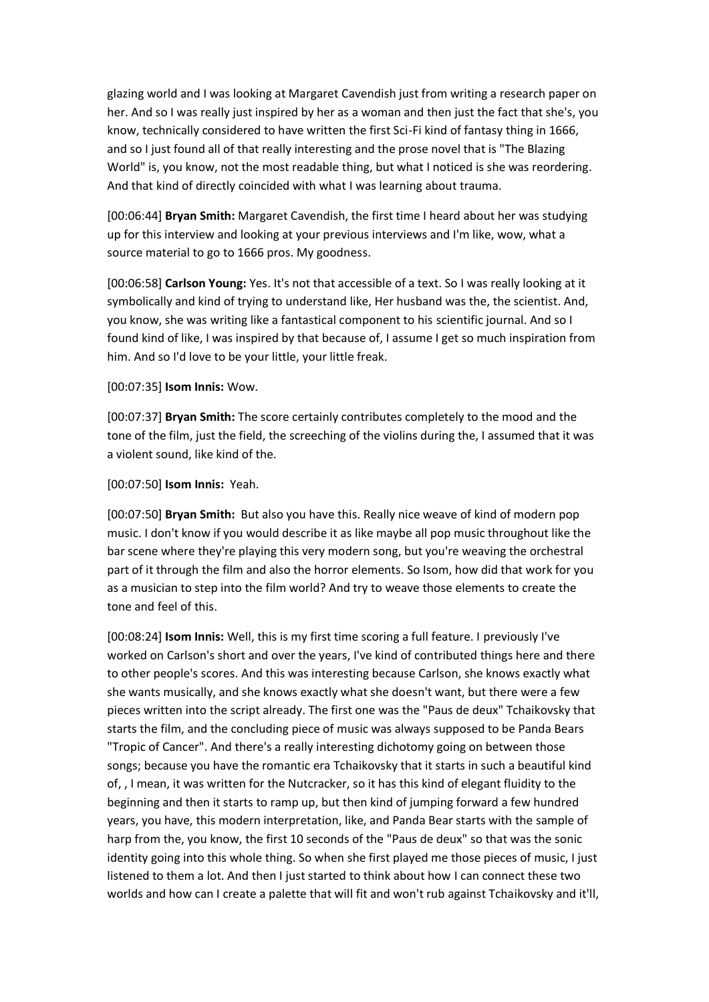glazing world and I was looking at Margaret Cavendish just from writing a research paper on her. And so I was really just inspired by her as a woman and then just the fact that she's, you know, technically considered to have written the first Sci-Fi kind of fantasy thing in 1666, and so I just found all of that really interesting and the prose novel that is "The Blazing World" is, you know, not the most readable thing, but what I noticed is she was reordering. And that kind of directly coincided with what I was learning about trauma.

[00:06:44] **Bryan Smith:** Margaret Cavendish, the first time I heard about her was studying up for this interview and looking at your previous interviews and I'm like, wow, what a source material to go to 1666 pros. My goodness.

[00:06:58] **Carlson Young:** Yes. It's not that accessible of a text. So I was really looking at it symbolically and kind of trying to understand like, Her husband was the, the scientist. And, you know, she was writing like a fantastical component to his scientific journal. And so I found kind of like, I was inspired by that because of, I assume I get so much inspiration from him. And so I'd love to be your little, your little freak.

[00:07:35] **Isom Innis:** Wow.

[00:07:37] **Bryan Smith:** The score certainly contributes completely to the mood and the tone of the film, just the field, the screeching of the violins during the, I assumed that it was a violent sound, like kind of the.

[00:07:50] **Isom Innis:** Yeah.

[00:07:50] **Bryan Smith:** But also you have this. Really nice weave of kind of modern pop music. I don't know if you would describe it as like maybe all pop music throughout like the bar scene where they're playing this very modern song, but you're weaving the orchestral part of it through the film and also the horror elements. So Isom, how did that work for you as a musician to step into the film world? And try to weave those elements to create the tone and feel of this.

[00:08:24] **Isom Innis:** Well, this is my first time scoring a full feature. I previously I've worked on Carlson's short and over the years, I've kind of contributed things here and there to other people's scores. And this was interesting because Carlson, she knows exactly what she wants musically, and she knows exactly what she doesn't want, but there were a few pieces written into the script already. The first one was the "Paus de deux" Tchaikovsky that starts the film, and the concluding piece of music was always supposed to be Panda Bears "Tropic of Cancer". And there's a really interesting dichotomy going on between those songs; because you have the romantic era Tchaikovsky that it starts in such a beautiful kind of, , I mean, it was written for the Nutcracker, so it has this kind of elegant fluidity to the beginning and then it starts to ramp up, but then kind of jumping forward a few hundred years, you have, this modern interpretation, like, and Panda Bear starts with the sample of harp from the, you know, the first 10 seconds of the "Paus de deux" so that was the sonic identity going into this whole thing. So when she first played me those pieces of music, I just listened to them a lot. And then I just started to think about how I can connect these two worlds and how can I create a palette that will fit and won't rub against Tchaikovsky and it'll,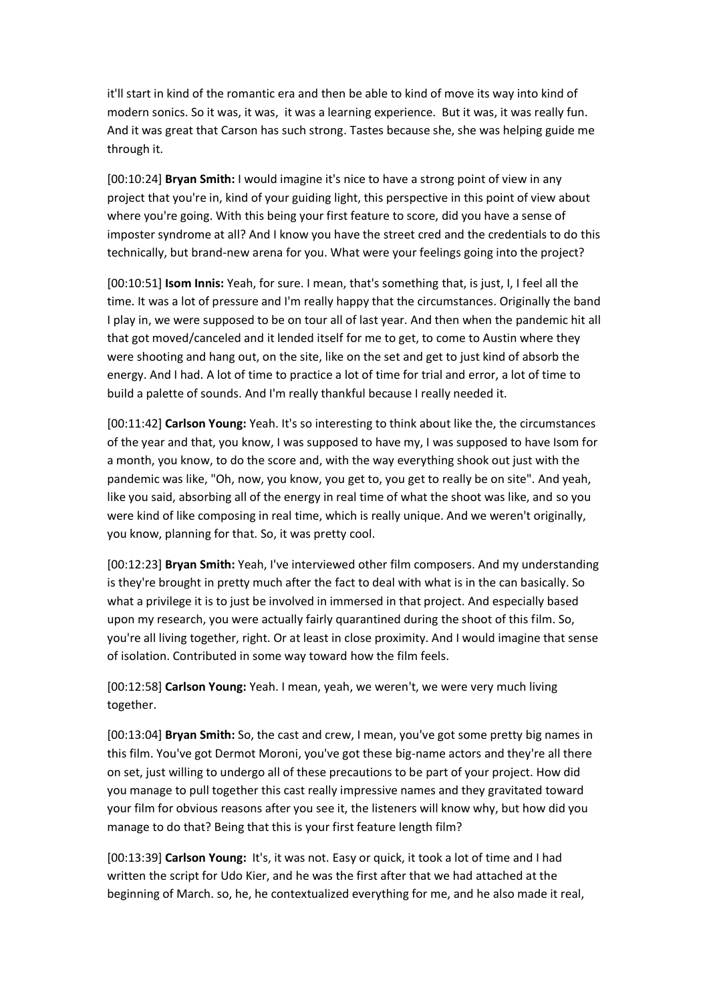it'll start in kind of the romantic era and then be able to kind of move its way into kind of modern sonics. So it was, it was, it was a learning experience. But it was, it was really fun. And it was great that Carson has such strong. Tastes because she, she was helping guide me through it.

[00:10:24] **Bryan Smith:** I would imagine it's nice to have a strong point of view in any project that you're in, kind of your guiding light, this perspective in this point of view about where you're going. With this being your first feature to score, did you have a sense of imposter syndrome at all? And I know you have the street cred and the credentials to do this technically, but brand-new arena for you. What were your feelings going into the project?

[00:10:51] **Isom Innis:** Yeah, for sure. I mean, that's something that, is just, I, I feel all the time. It was a lot of pressure and I'm really happy that the circumstances. Originally the band I play in, we were supposed to be on tour all of last year. And then when the pandemic hit all that got moved/canceled and it lended itself for me to get, to come to Austin where they were shooting and hang out, on the site, like on the set and get to just kind of absorb the energy. And I had. A lot of time to practice a lot of time for trial and error, a lot of time to build a palette of sounds. And I'm really thankful because I really needed it.

[00:11:42] **Carlson Young:** Yeah. It's so interesting to think about like the, the circumstances of the year and that, you know, I was supposed to have my, I was supposed to have Isom for a month, you know, to do the score and, with the way everything shook out just with the pandemic was like, "Oh, now, you know, you get to, you get to really be on site". And yeah, like you said, absorbing all of the energy in real time of what the shoot was like, and so you were kind of like composing in real time, which is really unique. And we weren't originally, you know, planning for that. So, it was pretty cool.

[00:12:23] **Bryan Smith:** Yeah, I've interviewed other film composers. And my understanding is they're brought in pretty much after the fact to deal with what is in the can basically. So what a privilege it is to just be involved in immersed in that project. And especially based upon my research, you were actually fairly quarantined during the shoot of this film. So, you're all living together, right. Or at least in close proximity. And I would imagine that sense of isolation. Contributed in some way toward how the film feels.

[00:12:58] **Carlson Young:** Yeah. I mean, yeah, we weren't, we were very much living together.

[00:13:04] **Bryan Smith:** So, the cast and crew, I mean, you've got some pretty big names in this film. You've got Dermot Moroni, you've got these big-name actors and they're all there on set, just willing to undergo all of these precautions to be part of your project. How did you manage to pull together this cast really impressive names and they gravitated toward your film for obvious reasons after you see it, the listeners will know why, but how did you manage to do that? Being that this is your first feature length film?

[00:13:39] **Carlson Young:** It's, it was not. Easy or quick, it took a lot of time and I had written the script for Udo Kier, and he was the first after that we had attached at the beginning of March. so, he, he contextualized everything for me, and he also made it real,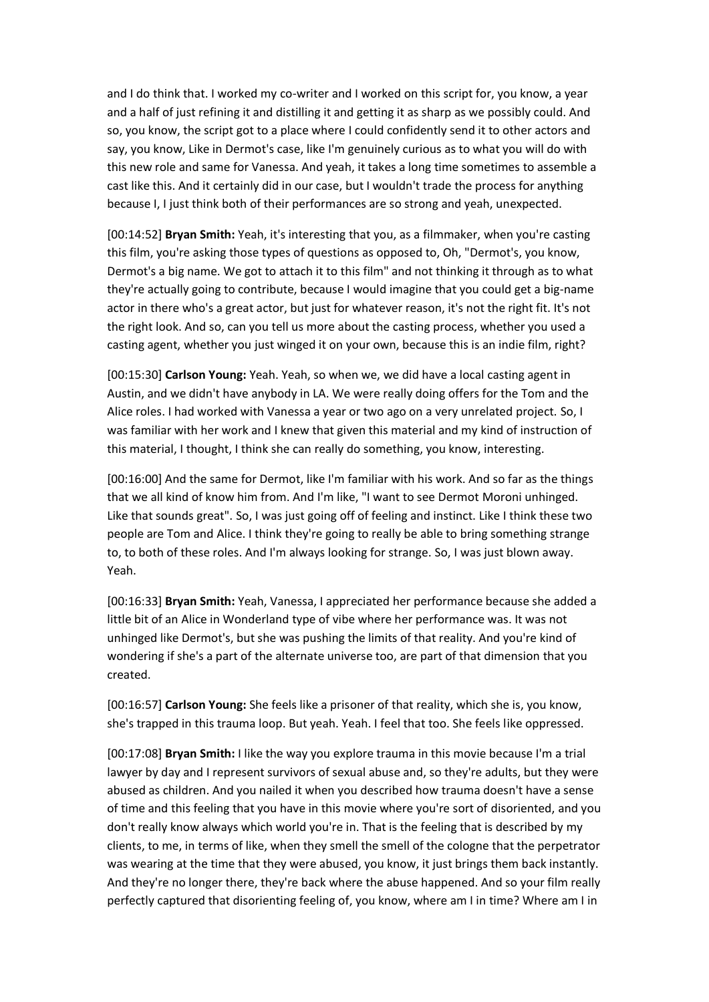and I do think that. I worked my co-writer and I worked on this script for, you know, a year and a half of just refining it and distilling it and getting it as sharp as we possibly could. And so, you know, the script got to a place where I could confidently send it to other actors and say, you know, Like in Dermot's case, like I'm genuinely curious as to what you will do with this new role and same for Vanessa. And yeah, it takes a long time sometimes to assemble a cast like this. And it certainly did in our case, but I wouldn't trade the process for anything because I, I just think both of their performances are so strong and yeah, unexpected.

[00:14:52] **Bryan Smith:** Yeah, it's interesting that you, as a filmmaker, when you're casting this film, you're asking those types of questions as opposed to, Oh, "Dermot's, you know, Dermot's a big name. We got to attach it to this film" and not thinking it through as to what they're actually going to contribute, because I would imagine that you could get a big-name actor in there who's a great actor, but just for whatever reason, it's not the right fit. It's not the right look. And so, can you tell us more about the casting process, whether you used a casting agent, whether you just winged it on your own, because this is an indie film, right?

[00:15:30] **Carlson Young:** Yeah. Yeah, so when we, we did have a local casting agent in Austin, and we didn't have anybody in LA. We were really doing offers for the Tom and the Alice roles. I had worked with Vanessa a year or two ago on a very unrelated project. So, I was familiar with her work and I knew that given this material and my kind of instruction of this material, I thought, I think she can really do something, you know, interesting.

[00:16:00] And the same for Dermot, like I'm familiar with his work. And so far as the things that we all kind of know him from. And I'm like, "I want to see Dermot Moroni unhinged. Like that sounds great". So, I was just going off of feeling and instinct. Like I think these two people are Tom and Alice. I think they're going to really be able to bring something strange to, to both of these roles. And I'm always looking for strange. So, I was just blown away. Yeah.

[00:16:33] **Bryan Smith:** Yeah, Vanessa, I appreciated her performance because she added a little bit of an Alice in Wonderland type of vibe where her performance was. It was not unhinged like Dermot's, but she was pushing the limits of that reality. And you're kind of wondering if she's a part of the alternate universe too, are part of that dimension that you created.

[00:16:57] **Carlson Young:** She feels like a prisoner of that reality, which she is, you know, she's trapped in this trauma loop. But yeah. Yeah. I feel that too. She feels like oppressed.

[00:17:08] **Bryan Smith:** I like the way you explore trauma in this movie because I'm a trial lawyer by day and I represent survivors of sexual abuse and, so they're adults, but they were abused as children. And you nailed it when you described how trauma doesn't have a sense of time and this feeling that you have in this movie where you're sort of disoriented, and you don't really know always which world you're in. That is the feeling that is described by my clients, to me, in terms of like, when they smell the smell of the cologne that the perpetrator was wearing at the time that they were abused, you know, it just brings them back instantly. And they're no longer there, they're back where the abuse happened. And so your film really perfectly captured that disorienting feeling of, you know, where am I in time? Where am I in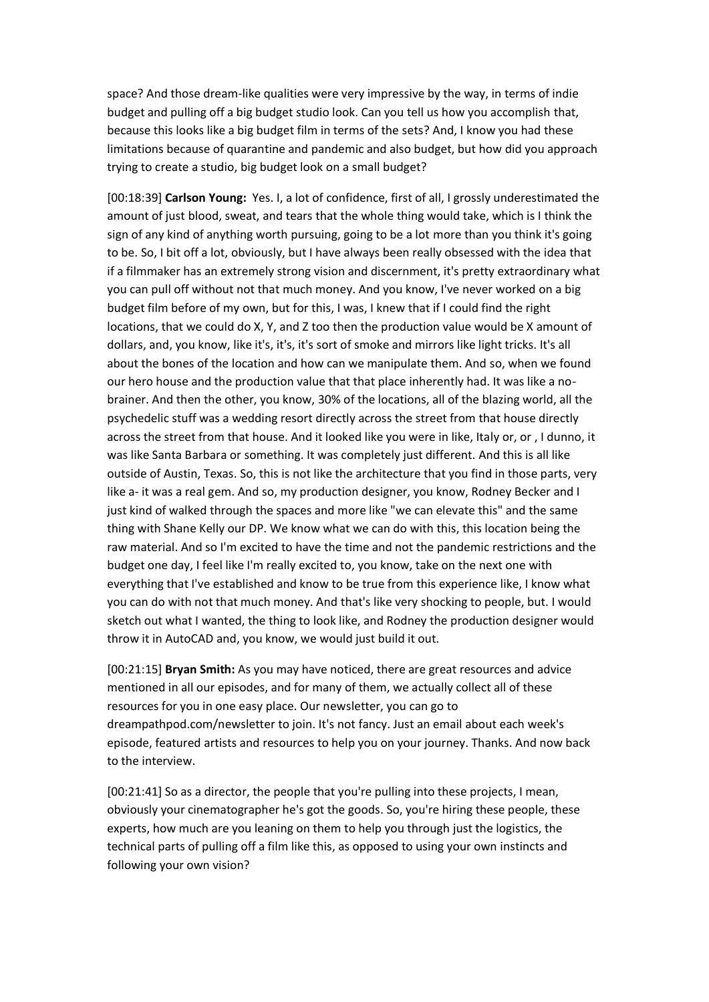space? And those dream-like qualities were very impressive by the way, in terms of indie budget and pulling off a big budget studio look. Can you tell us how you accomplish that, because this looks like a big budget film in terms of the sets? And, I know you had these limitations because of quarantine and pandemic and also budget, but how did you approach trying to create a studio, big budget look on a small budget?

[00:18:39] **Carlson Young:** Yes. I, a lot of confidence, first of all, I grossly underestimated the amount of just blood, sweat, and tears that the whole thing would take, which is I think the sign of any kind of anything worth pursuing, going to be a lot more than you think it's going to be. So, I bit off a lot, obviously, but I have always been really obsessed with the idea that if a filmmaker has an extremely strong vision and discernment, it's pretty extraordinary what you can pull off without not that much money. And you know, I've never worked on a big budget film before of my own, but for this, I was, I knew that if I could find the right locations, that we could do X, Y, and Z too then the production value would be X amount of dollars, and, you know, like it's, it's, it's sort of smoke and mirrors like light tricks. It's all about the bones of the location and how can we manipulate them. And so, when we found our hero house and the production value that that place inherently had. It was like a nobrainer. And then the other, you know, 30% of the locations, all of the blazing world, all the psychedelic stuff was a wedding resort directly across the street from that house directly across the street from that house. And it looked like you were in like, Italy or, or , I dunno, it was like Santa Barbara or something. It was completely just different. And this is all like outside of Austin, Texas. So, this is not like the architecture that you find in those parts, very like a- it was a real gem. And so, my production designer, you know, Rodney Becker and I just kind of walked through the spaces and more like "we can elevate this" and the same thing with Shane Kelly our DP. We know what we can do with this, this location being the raw material. And so I'm excited to have the time and not the pandemic restrictions and the budget one day, I feel like I'm really excited to, you know, take on the next one with everything that I've established and know to be true from this experience like, I know what you can do with not that much money. And that's like very shocking to people, but. I would sketch out what I wanted, the thing to look like, and Rodney the production designer would throw it in AutoCAD and, you know, we would just build it out.

[00:21:15] **Bryan Smith:** As you may have noticed, there are great resources and advice mentioned in all our episodes, and for many of them, we actually collect all of these resources for you in one easy place. Our newsletter, you can go to dreampathpod.com/newsletter to join. It's not fancy. Just an email about each week's episode, featured artists and resources to help you on your journey. Thanks. And now back to the interview.

[00:21:41] So as a director, the people that you're pulling into these projects, I mean, obviously your cinematographer he's got the goods. So, you're hiring these people, these experts, how much are you leaning on them to help you through just the logistics, the technical parts of pulling off a film like this, as opposed to using your own instincts and following your own vision?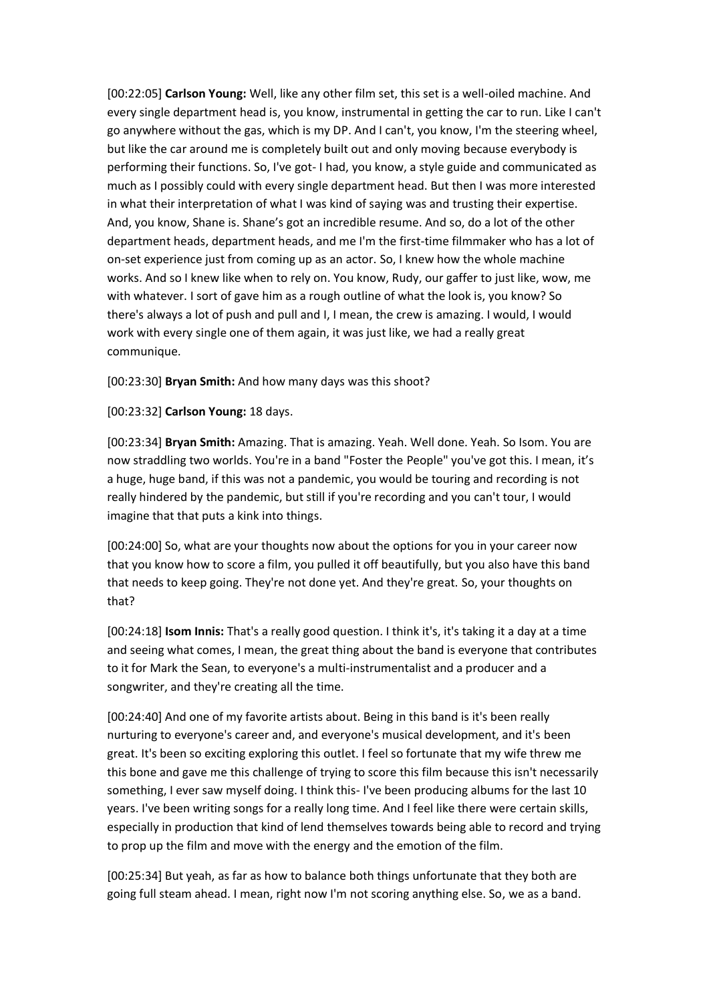[00:22:05] **Carlson Young:** Well, like any other film set, this set is a well-oiled machine. And every single department head is, you know, instrumental in getting the car to run. Like I can't go anywhere without the gas, which is my DP. And I can't, you know, I'm the steering wheel, but like the car around me is completely built out and only moving because everybody is performing their functions. So, I've got- I had, you know, a style guide and communicated as much as I possibly could with every single department head. But then I was more interested in what their interpretation of what I was kind of saying was and trusting their expertise. And, you know, Shane is. Shane's got an incredible resume. And so, do a lot of the other department heads, department heads, and me I'm the first-time filmmaker who has a lot of on-set experience just from coming up as an actor. So, I knew how the whole machine works. And so I knew like when to rely on. You know, Rudy, our gaffer to just like, wow, me with whatever. I sort of gave him as a rough outline of what the look is, you know? So there's always a lot of push and pull and I, I mean, the crew is amazing. I would, I would work with every single one of them again, it was just like, we had a really great communique.

[00:23:30] **Bryan Smith:** And how many days was this shoot?

[00:23:32] **Carlson Young:** 18 days.

[00:23:34] **Bryan Smith:** Amazing. That is amazing. Yeah. Well done. Yeah. So Isom. You are now straddling two worlds. You're in a band "Foster the People" you've got this. I mean, it's a huge, huge band, if this was not a pandemic, you would be touring and recording is not really hindered by the pandemic, but still if you're recording and you can't tour, I would imagine that that puts a kink into things.

[00:24:00] So, what are your thoughts now about the options for you in your career now that you know how to score a film, you pulled it off beautifully, but you also have this band that needs to keep going. They're not done yet. And they're great. So, your thoughts on that?

[00:24:18] **Isom Innis:** That's a really good question. I think it's, it's taking it a day at a time and seeing what comes, I mean, the great thing about the band is everyone that contributes to it for Mark the Sean, to everyone's a multi-instrumentalist and a producer and a songwriter, and they're creating all the time.

[00:24:40] And one of my favorite artists about. Being in this band is it's been really nurturing to everyone's career and, and everyone's musical development, and it's been great. It's been so exciting exploring this outlet. I feel so fortunate that my wife threw me this bone and gave me this challenge of trying to score this film because this isn't necessarily something, I ever saw myself doing. I think this- I've been producing albums for the last 10 years. I've been writing songs for a really long time. And I feel like there were certain skills, especially in production that kind of lend themselves towards being able to record and trying to prop up the film and move with the energy and the emotion of the film.

[00:25:34] But yeah, as far as how to balance both things unfortunate that they both are going full steam ahead. I mean, right now I'm not scoring anything else. So, we as a band.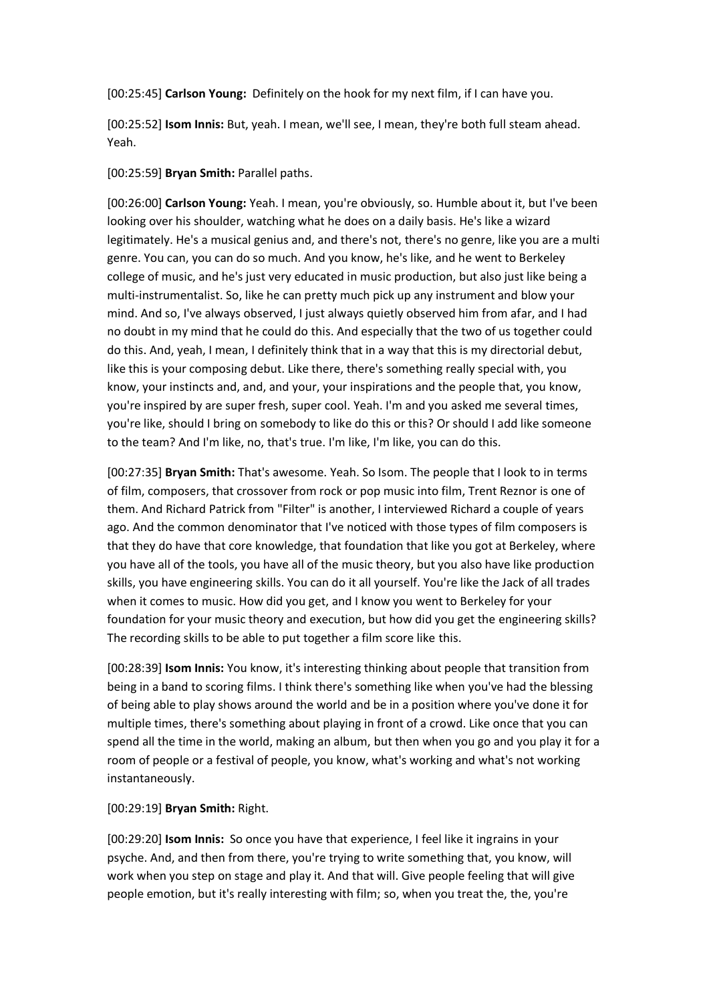[00:25:45] **Carlson Young:** Definitely on the hook for my next film, if I can have you.

[00:25:52] **Isom Innis:** But, yeah. I mean, we'll see, I mean, they're both full steam ahead. Yeah.

## [00:25:59] **Bryan Smith:** Parallel paths.

[00:26:00] **Carlson Young:** Yeah. I mean, you're obviously, so. Humble about it, but I've been looking over his shoulder, watching what he does on a daily basis. He's like a wizard legitimately. He's a musical genius and, and there's not, there's no genre, like you are a multi genre. You can, you can do so much. And you know, he's like, and he went to Berkeley college of music, and he's just very educated in music production, but also just like being a multi-instrumentalist. So, like he can pretty much pick up any instrument and blow your mind. And so, I've always observed, I just always quietly observed him from afar, and I had no doubt in my mind that he could do this. And especially that the two of us together could do this. And, yeah, I mean, I definitely think that in a way that this is my directorial debut, like this is your composing debut. Like there, there's something really special with, you know, your instincts and, and, and your, your inspirations and the people that, you know, you're inspired by are super fresh, super cool. Yeah. I'm and you asked me several times, you're like, should I bring on somebody to like do this or this? Or should I add like someone to the team? And I'm like, no, that's true. I'm like, I'm like, you can do this.

[00:27:35] **Bryan Smith:** That's awesome. Yeah. So Isom. The people that I look to in terms of film, composers, that crossover from rock or pop music into film, Trent Reznor is one of them. And Richard Patrick from "Filter" is another, I interviewed Richard a couple of years ago. And the common denominator that I've noticed with those types of film composers is that they do have that core knowledge, that foundation that like you got at Berkeley, where you have all of the tools, you have all of the music theory, but you also have like production skills, you have engineering skills. You can do it all yourself. You're like the Jack of all trades when it comes to music. How did you get, and I know you went to Berkeley for your foundation for your music theory and execution, but how did you get the engineering skills? The recording skills to be able to put together a film score like this.

[00:28:39] **Isom Innis:** You know, it's interesting thinking about people that transition from being in a band to scoring films. I think there's something like when you've had the blessing of being able to play shows around the world and be in a position where you've done it for multiple times, there's something about playing in front of a crowd. Like once that you can spend all the time in the world, making an album, but then when you go and you play it for a room of people or a festival of people, you know, what's working and what's not working instantaneously.

## [00:29:19] **Bryan Smith:** Right.

[00:29:20] **Isom Innis:** So once you have that experience, I feel like it ingrains in your psyche. And, and then from there, you're trying to write something that, you know, will work when you step on stage and play it. And that will. Give people feeling that will give people emotion, but it's really interesting with film; so, when you treat the, the, you're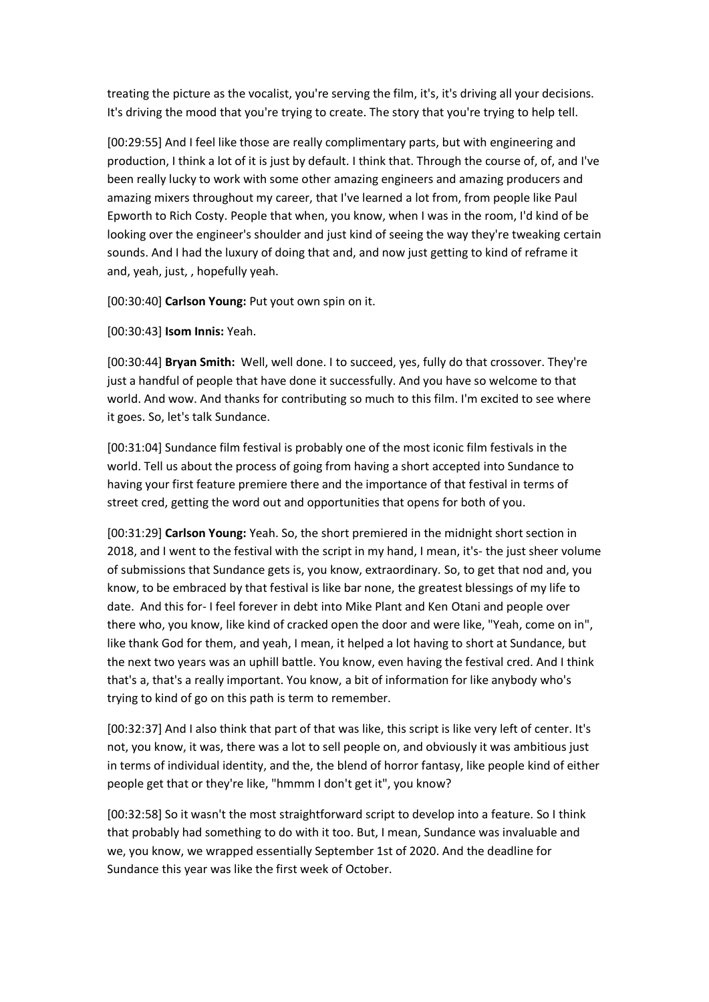treating the picture as the vocalist, you're serving the film, it's, it's driving all your decisions. It's driving the mood that you're trying to create. The story that you're trying to help tell.

[00:29:55] And I feel like those are really complimentary parts, but with engineering and production, I think a lot of it is just by default. I think that. Through the course of, of, and I've been really lucky to work with some other amazing engineers and amazing producers and amazing mixers throughout my career, that I've learned a lot from, from people like Paul Epworth to Rich Costy. People that when, you know, when I was in the room, I'd kind of be looking over the engineer's shoulder and just kind of seeing the way they're tweaking certain sounds. And I had the luxury of doing that and, and now just getting to kind of reframe it and, yeah, just, , hopefully yeah.

[00:30:40] **Carlson Young:** Put yout own spin on it.

[00:30:43] **Isom Innis:** Yeah.

[00:30:44] **Bryan Smith:** Well, well done. I to succeed, yes, fully do that crossover. They're just a handful of people that have done it successfully. And you have so welcome to that world. And wow. And thanks for contributing so much to this film. I'm excited to see where it goes. So, let's talk Sundance.

[00:31:04] Sundance film festival is probably one of the most iconic film festivals in the world. Tell us about the process of going from having a short accepted into Sundance to having your first feature premiere there and the importance of that festival in terms of street cred, getting the word out and opportunities that opens for both of you.

[00:31:29] **Carlson Young:** Yeah. So, the short premiered in the midnight short section in 2018, and I went to the festival with the script in my hand, I mean, it's- the just sheer volume of submissions that Sundance gets is, you know, extraordinary. So, to get that nod and, you know, to be embraced by that festival is like bar none, the greatest blessings of my life to date. And this for- I feel forever in debt into Mike Plant and Ken Otani and people over there who, you know, like kind of cracked open the door and were like, "Yeah, come on in", like thank God for them, and yeah, I mean, it helped a lot having to short at Sundance, but the next two years was an uphill battle. You know, even having the festival cred. And I think that's a, that's a really important. You know, a bit of information for like anybody who's trying to kind of go on this path is term to remember.

[00:32:37] And I also think that part of that was like, this script is like very left of center. It's not, you know, it was, there was a lot to sell people on, and obviously it was ambitious just in terms of individual identity, and the, the blend of horror fantasy, like people kind of either people get that or they're like, "hmmm I don't get it", you know?

[00:32:58] So it wasn't the most straightforward script to develop into a feature. So I think that probably had something to do with it too. But, I mean, Sundance was invaluable and we, you know, we wrapped essentially September 1st of 2020. And the deadline for Sundance this year was like the first week of October.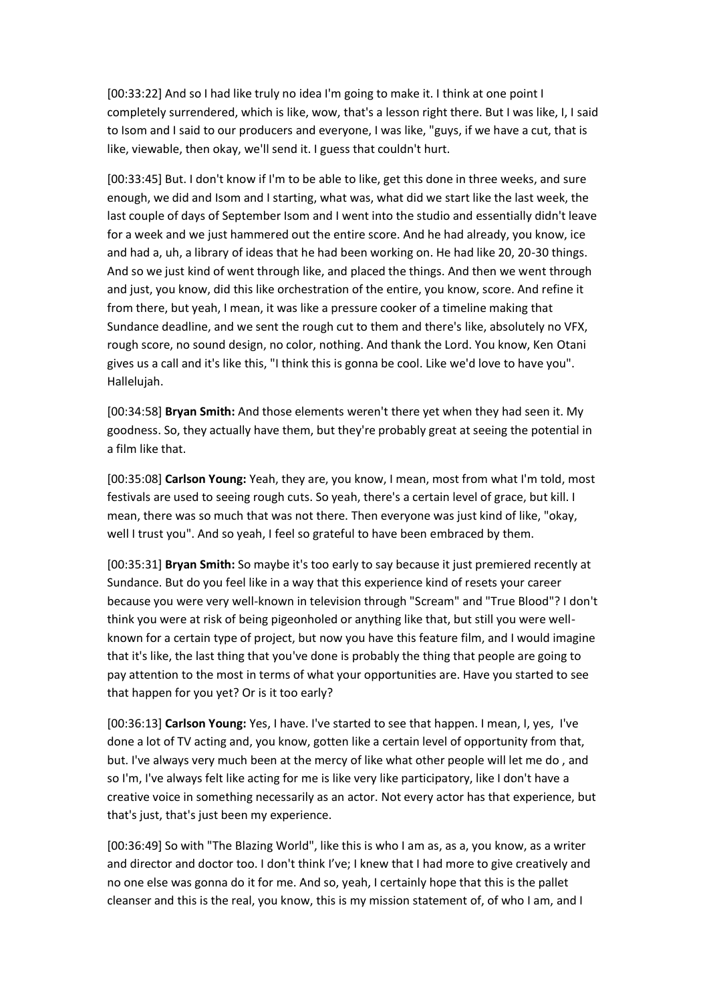[00:33:22] And so I had like truly no idea I'm going to make it. I think at one point I completely surrendered, which is like, wow, that's a lesson right there. But I was like, I, I said to Isom and I said to our producers and everyone, I was like, "guys, if we have a cut, that is like, viewable, then okay, we'll send it. I guess that couldn't hurt.

[00:33:45] But. I don't know if I'm to be able to like, get this done in three weeks, and sure enough, we did and Isom and I starting, what was, what did we start like the last week, the last couple of days of September Isom and I went into the studio and essentially didn't leave for a week and we just hammered out the entire score. And he had already, you know, ice and had a, uh, a library of ideas that he had been working on. He had like 20, 20-30 things. And so we just kind of went through like, and placed the things. And then we went through and just, you know, did this like orchestration of the entire, you know, score. And refine it from there, but yeah, I mean, it was like a pressure cooker of a timeline making that Sundance deadline, and we sent the rough cut to them and there's like, absolutely no VFX, rough score, no sound design, no color, nothing. And thank the Lord. You know, Ken Otani gives us a call and it's like this, "I think this is gonna be cool. Like we'd love to have you". Hallelujah.

[00:34:58] **Bryan Smith:** And those elements weren't there yet when they had seen it. My goodness. So, they actually have them, but they're probably great at seeing the potential in a film like that.

[00:35:08] **Carlson Young:** Yeah, they are, you know, I mean, most from what I'm told, most festivals are used to seeing rough cuts. So yeah, there's a certain level of grace, but kill. I mean, there was so much that was not there. Then everyone was just kind of like, "okay, well I trust you". And so yeah, I feel so grateful to have been embraced by them.

[00:35:31] **Bryan Smith:** So maybe it's too early to say because it just premiered recently at Sundance. But do you feel like in a way that this experience kind of resets your career because you were very well-known in television through "Scream" and "True Blood"? I don't think you were at risk of being pigeonholed or anything like that, but still you were wellknown for a certain type of project, but now you have this feature film, and I would imagine that it's like, the last thing that you've done is probably the thing that people are going to pay attention to the most in terms of what your opportunities are. Have you started to see that happen for you yet? Or is it too early?

[00:36:13] **Carlson Young:** Yes, I have. I've started to see that happen. I mean, I, yes, I've done a lot of TV acting and, you know, gotten like a certain level of opportunity from that, but. I've always very much been at the mercy of like what other people will let me do , and so I'm, I've always felt like acting for me is like very like participatory, like I don't have a creative voice in something necessarily as an actor. Not every actor has that experience, but that's just, that's just been my experience.

[00:36:49] So with "The Blazing World", like this is who I am as, as a, you know, as a writer and director and doctor too. I don't think I've; I knew that I had more to give creatively and no one else was gonna do it for me. And so, yeah, I certainly hope that this is the pallet cleanser and this is the real, you know, this is my mission statement of, of who I am, and I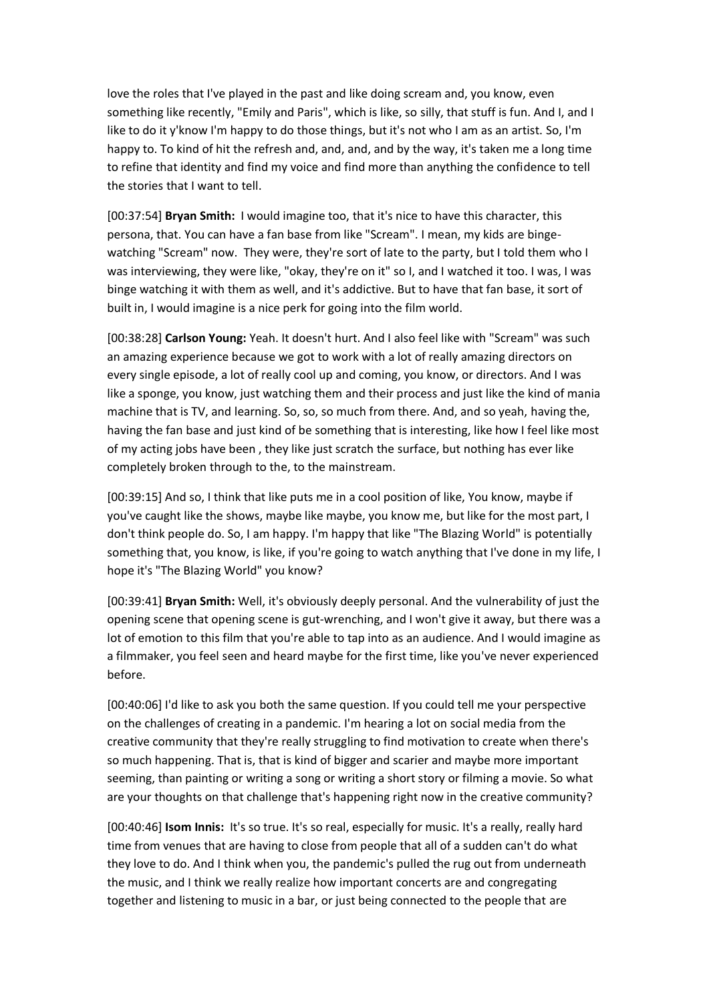love the roles that I've played in the past and like doing scream and, you know, even something like recently, "Emily and Paris", which is like, so silly, that stuff is fun. And I, and I like to do it y'know I'm happy to do those things, but it's not who I am as an artist. So, I'm happy to. To kind of hit the refresh and, and, and, and by the way, it's taken me a long time to refine that identity and find my voice and find more than anything the confidence to tell the stories that I want to tell.

[00:37:54] **Bryan Smith:** I would imagine too, that it's nice to have this character, this persona, that. You can have a fan base from like "Scream". I mean, my kids are bingewatching "Scream" now. They were, they're sort of late to the party, but I told them who I was interviewing, they were like, "okay, they're on it" so I, and I watched it too. I was, I was binge watching it with them as well, and it's addictive. But to have that fan base, it sort of built in, I would imagine is a nice perk for going into the film world.

[00:38:28] **Carlson Young:** Yeah. It doesn't hurt. And I also feel like with "Scream" was such an amazing experience because we got to work with a lot of really amazing directors on every single episode, a lot of really cool up and coming, you know, or directors. And I was like a sponge, you know, just watching them and their process and just like the kind of mania machine that is TV, and learning. So, so, so much from there. And, and so yeah, having the, having the fan base and just kind of be something that is interesting, like how I feel like most of my acting jobs have been , they like just scratch the surface, but nothing has ever like completely broken through to the, to the mainstream.

[00:39:15] And so, I think that like puts me in a cool position of like, You know, maybe if you've caught like the shows, maybe like maybe, you know me, but like for the most part, I don't think people do. So, I am happy. I'm happy that like "The Blazing World" is potentially something that, you know, is like, if you're going to watch anything that I've done in my life, I hope it's "The Blazing World" you know?

[00:39:41] **Bryan Smith:** Well, it's obviously deeply personal. And the vulnerability of just the opening scene that opening scene is gut-wrenching, and I won't give it away, but there was a lot of emotion to this film that you're able to tap into as an audience. And I would imagine as a filmmaker, you feel seen and heard maybe for the first time, like you've never experienced before.

[00:40:06] I'd like to ask you both the same question. If you could tell me your perspective on the challenges of creating in a pandemic. I'm hearing a lot on social media from the creative community that they're really struggling to find motivation to create when there's so much happening. That is, that is kind of bigger and scarier and maybe more important seeming, than painting or writing a song or writing a short story or filming a movie. So what are your thoughts on that challenge that's happening right now in the creative community?

[00:40:46] **Isom Innis:** It's so true. It's so real, especially for music. It's a really, really hard time from venues that are having to close from people that all of a sudden can't do what they love to do. And I think when you, the pandemic's pulled the rug out from underneath the music, and I think we really realize how important concerts are and congregating together and listening to music in a bar, or just being connected to the people that are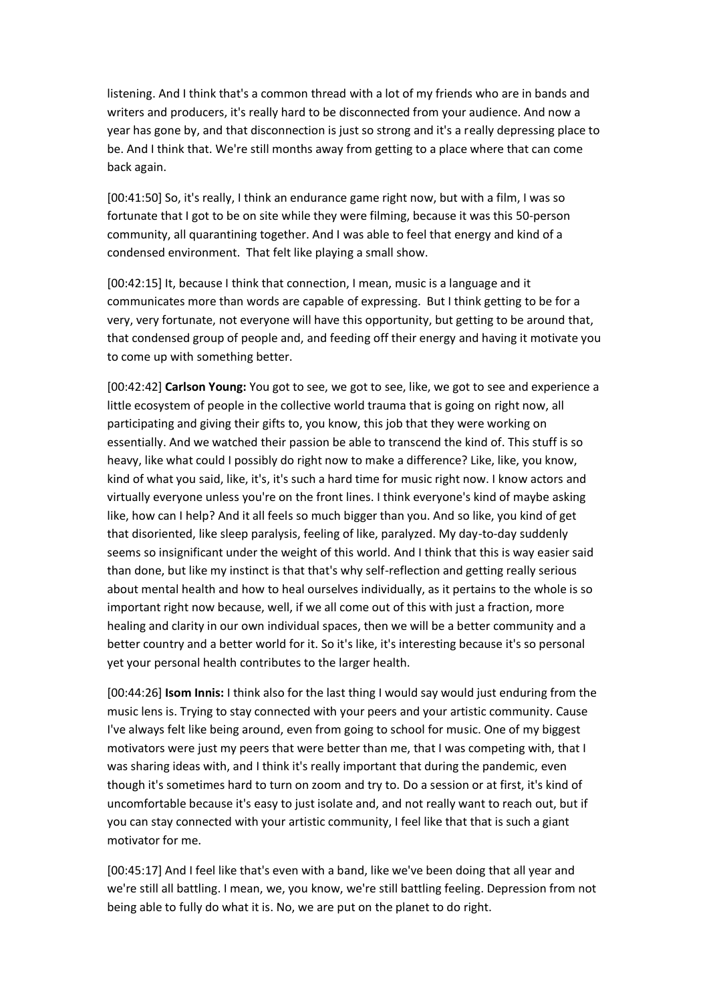listening. And I think that's a common thread with a lot of my friends who are in bands and writers and producers, it's really hard to be disconnected from your audience. And now a year has gone by, and that disconnection is just so strong and it's a really depressing place to be. And I think that. We're still months away from getting to a place where that can come back again.

[00:41:50] So, it's really, I think an endurance game right now, but with a film, I was so fortunate that I got to be on site while they were filming, because it was this 50-person community, all quarantining together. And I was able to feel that energy and kind of a condensed environment. That felt like playing a small show.

[00:42:15] It, because I think that connection, I mean, music is a language and it communicates more than words are capable of expressing. But I think getting to be for a very, very fortunate, not everyone will have this opportunity, but getting to be around that, that condensed group of people and, and feeding off their energy and having it motivate you to come up with something better.

[00:42:42] **Carlson Young:** You got to see, we got to see, like, we got to see and experience a little ecosystem of people in the collective world trauma that is going on right now, all participating and giving their gifts to, you know, this job that they were working on essentially. And we watched their passion be able to transcend the kind of. This stuff is so heavy, like what could I possibly do right now to make a difference? Like, like, you know, kind of what you said, like, it's, it's such a hard time for music right now. I know actors and virtually everyone unless you're on the front lines. I think everyone's kind of maybe asking like, how can I help? And it all feels so much bigger than you. And so like, you kind of get that disoriented, like sleep paralysis, feeling of like, paralyzed. My day-to-day suddenly seems so insignificant under the weight of this world. And I think that this is way easier said than done, but like my instinct is that that's why self-reflection and getting really serious about mental health and how to heal ourselves individually, as it pertains to the whole is so important right now because, well, if we all come out of this with just a fraction, more healing and clarity in our own individual spaces, then we will be a better community and a better country and a better world for it. So it's like, it's interesting because it's so personal yet your personal health contributes to the larger health.

[00:44:26] **Isom Innis:** I think also for the last thing I would say would just enduring from the music lens is. Trying to stay connected with your peers and your artistic community. Cause I've always felt like being around, even from going to school for music. One of my biggest motivators were just my peers that were better than me, that I was competing with, that I was sharing ideas with, and I think it's really important that during the pandemic, even though it's sometimes hard to turn on zoom and try to. Do a session or at first, it's kind of uncomfortable because it's easy to just isolate and, and not really want to reach out, but if you can stay connected with your artistic community, I feel like that that is such a giant motivator for me.

[00:45:17] And I feel like that's even with a band, like we've been doing that all year and we're still all battling. I mean, we, you know, we're still battling feeling. Depression from not being able to fully do what it is. No, we are put on the planet to do right.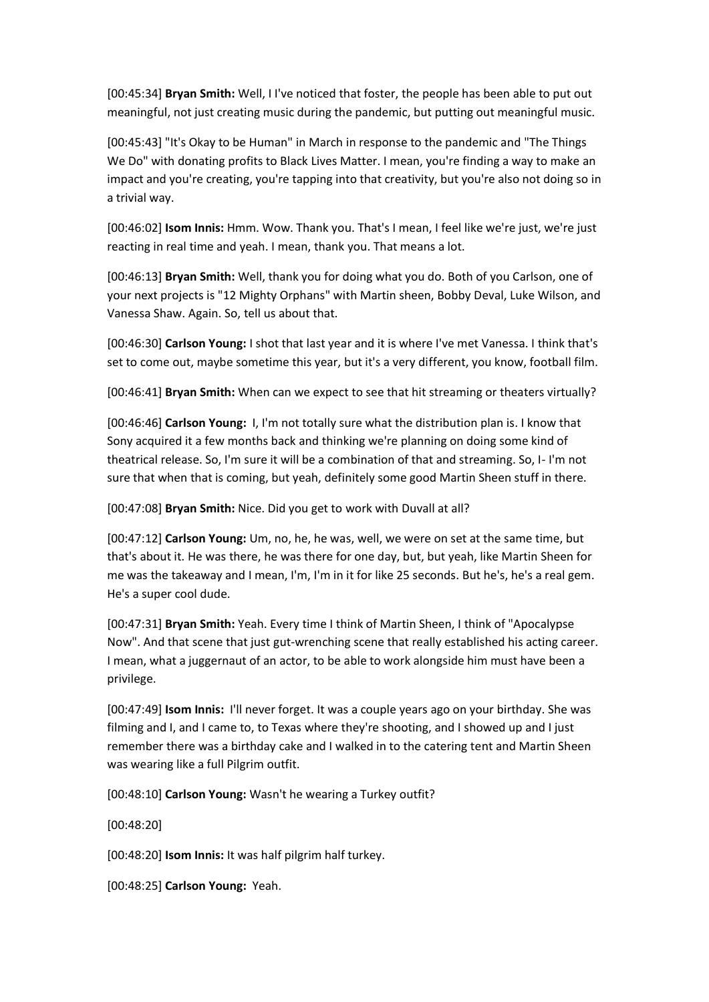[00:45:34] **Bryan Smith:** Well, I I've noticed that foster, the people has been able to put out meaningful, not just creating music during the pandemic, but putting out meaningful music.

[00:45:43] "It's Okay to be Human" in March in response to the pandemic and "The Things We Do" with donating profits to Black Lives Matter. I mean, you're finding a way to make an impact and you're creating, you're tapping into that creativity, but you're also not doing so in a trivial way.

[00:46:02] **Isom Innis:** Hmm. Wow. Thank you. That's I mean, I feel like we're just, we're just reacting in real time and yeah. I mean, thank you. That means a lot.

[00:46:13] **Bryan Smith:** Well, thank you for doing what you do. Both of you Carlson, one of your next projects is "12 Mighty Orphans" with Martin sheen, Bobby Deval, Luke Wilson, and Vanessa Shaw. Again. So, tell us about that.

[00:46:30] **Carlson Young:** I shot that last year and it is where I've met Vanessa. I think that's set to come out, maybe sometime this year, but it's a very different, you know, football film.

[00:46:41] **Bryan Smith:** When can we expect to see that hit streaming or theaters virtually?

[00:46:46] **Carlson Young:** I, I'm not totally sure what the distribution plan is. I know that Sony acquired it a few months back and thinking we're planning on doing some kind of theatrical release. So, I'm sure it will be a combination of that and streaming. So, I- I'm not sure that when that is coming, but yeah, definitely some good Martin Sheen stuff in there.

[00:47:08] **Bryan Smith:** Nice. Did you get to work with Duvall at all?

[00:47:12] **Carlson Young:** Um, no, he, he was, well, we were on set at the same time, but that's about it. He was there, he was there for one day, but, but yeah, like Martin Sheen for me was the takeaway and I mean, I'm, I'm in it for like 25 seconds. But he's, he's a real gem. He's a super cool dude.

[00:47:31] **Bryan Smith:** Yeah. Every time I think of Martin Sheen, I think of "Apocalypse Now". And that scene that just gut-wrenching scene that really established his acting career. I mean, what a juggernaut of an actor, to be able to work alongside him must have been a privilege.

[00:47:49] **Isom Innis:** I'll never forget. It was a couple years ago on your birthday. She was filming and I, and I came to, to Texas where they're shooting, and I showed up and I just remember there was a birthday cake and I walked in to the catering tent and Martin Sheen was wearing like a full Pilgrim outfit.

[00:48:10] **Carlson Young:** Wasn't he wearing a Turkey outfit?

[00:48:20]

[00:48:20] **Isom Innis:** It was half pilgrim half turkey.

[00:48:25] **Carlson Young:** Yeah.